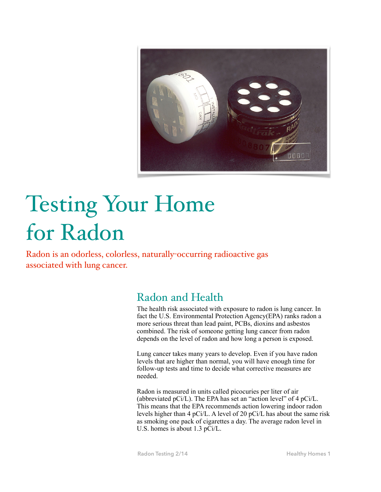

# Testing Your Home for Radon

Radon is an odorless, colorless, naturally-occurring radioactive gas associated with lung cancer.

## Radon and Health

The health risk associated with exposure to radon is lung cancer. In fact the U.S. Environmental Protection Agency(EPA) ranks radon a more serious threat than lead paint, PCBs, dioxins and asbestos combined. The risk of someone getting lung cancer from radon depends on the level of radon and how long a person is exposed.

Lung cancer takes many years to develop. Even if you have radon levels that are higher than normal, you will have enough time for follow-up tests and time to decide what corrective measures are needed.

Radon is measured in units called picocuries per liter of air (abbreviated pCi/L). The EPA has set an "action level" of 4 pCi/L. This means that the EPA recommends action lowering indoor radon levels higher than 4 pCi/L. A level of 20 pCi/L has about the same risk as smoking one pack of cigarettes a day. The average radon level in U.S. homes is about 1.3 pCi/L.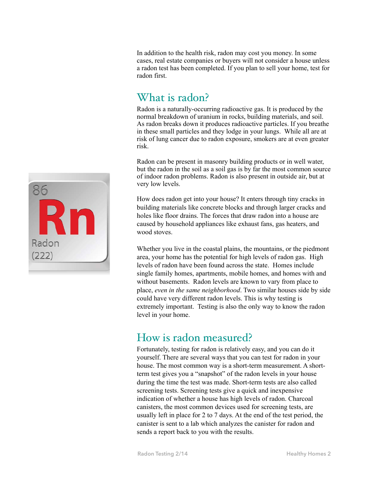In addition to the health risk, radon may cost you money. In some cases, real estate companies or buyers will not consider a house unless a radon test has been completed. If you plan to sell your home, test for radon first.

## What is radon?

Radon is a naturally-occurring radioactive gas. It is produced by the normal breakdown of uranium in rocks, building materials, and soil. As radon breaks down it produces radioactive particles. If you breathe in these small particles and they lodge in your lungs. While all are at risk of lung cancer due to radon exposure, smokers are at even greater risk.

Radon can be present in masonry building products or in well water, but the radon in the soil as a soil gas is by far the most common source of indoor radon problems. Radon is also present in outside air, but at very low levels.

How does radon get into your house? It enters through tiny cracks in building materials like concrete blocks and through larger cracks and holes like floor drains. The forces that draw radon into a house are caused by household appliances like exhaust fans, gas heaters, and wood stoves.

Whether you live in the coastal plains, the mountains, or the piedmont area, your home has the potential for high levels of radon gas. High levels of radon have been found across the state. Homes include single family homes, apartments, mobile homes, and homes with and without basements. Radon levels are known to vary from place to place, *even in the same neighborhood*. Two similar houses side by side could have very different radon levels. This is why testing is extremely important. Testing is also the only way to know the radon level in your home.

#### How is radon measured?

Fortunately, testing for radon is relatively easy, and you can do it yourself. There are several ways that you can test for radon in your house. The most common way is a short-term measurement. A shortterm test gives you a "snapshot" of the radon levels in your house during the time the test was made. Short-term tests are also called screening tests. Screening tests give a quick and inexpensive indication of whether a house has high levels of radon. Charcoal canisters, the most common devices used for screening tests, are usually left in place for 2 to 7 days. At the end of the test period, the canister is sent to a lab which analyzes the canister for radon and sends a report back to you with the results.

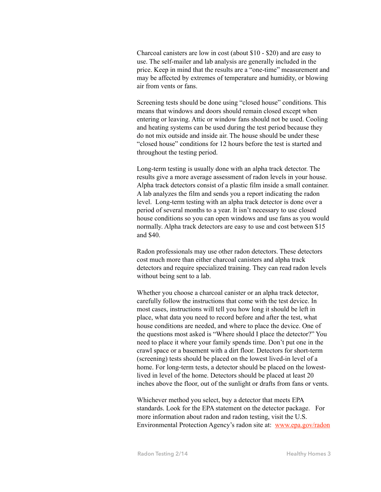Charcoal canisters are low in cost (about \$10 - \$20) and are easy to use. The self-mailer and lab analysis are generally included in the price. Keep in mind that the results are a "one-time" measurement and may be affected by extremes of temperature and humidity, or blowing air from vents or fans.

Screening tests should be done using "closed house" conditions. This means that windows and doors should remain closed except when entering or leaving. Attic or window fans should not be used. Cooling and heating systems can be used during the test period because they do not mix outside and inside air. The house should be under these "closed house" conditions for 12 hours before the test is started and throughout the testing period.

Long-term testing is usually done with an alpha track detector. The results give a more average assessment of radon levels in your house. Alpha track detectors consist of a plastic film inside a small container. A lab analyzes the film and sends you a report indicating the radon level. Long-term testing with an alpha track detector is done over a period of several months to a year. It isn't necessary to use closed house conditions so you can open windows and use fans as you would normally. Alpha track detectors are easy to use and cost between \$15 and \$40.

Radon professionals may use other radon detectors. These detectors cost much more than either charcoal canisters and alpha track detectors and require specialized training. They can read radon levels without being sent to a lab.

Whether you choose a charcoal canister or an alpha track detector, carefully follow the instructions that come with the test device. In most cases, instructions will tell you how long it should be left in place, what data you need to record before and after the test, what house conditions are needed, and where to place the device. One of the questions most asked is "Where should I place the detector?" You need to place it where your family spends time. Don't put one in the crawl space or a basement with a dirt floor. Detectors for short-term (screening) tests should be placed on the lowest lived-in level of a home. For long-term tests, a detector should be placed on the lowestlived in level of the home. Detectors should be placed at least 20 inches above the floor, out of the sunlight or drafts from fans or vents.

Whichever method you select, buy a detector that meets EPA standards. Look for the EPA statement on the detector package. For more information about radon and radon testing, visit the U.S. Environmental Protection Agency's radon site at: www.epa.gov/radon